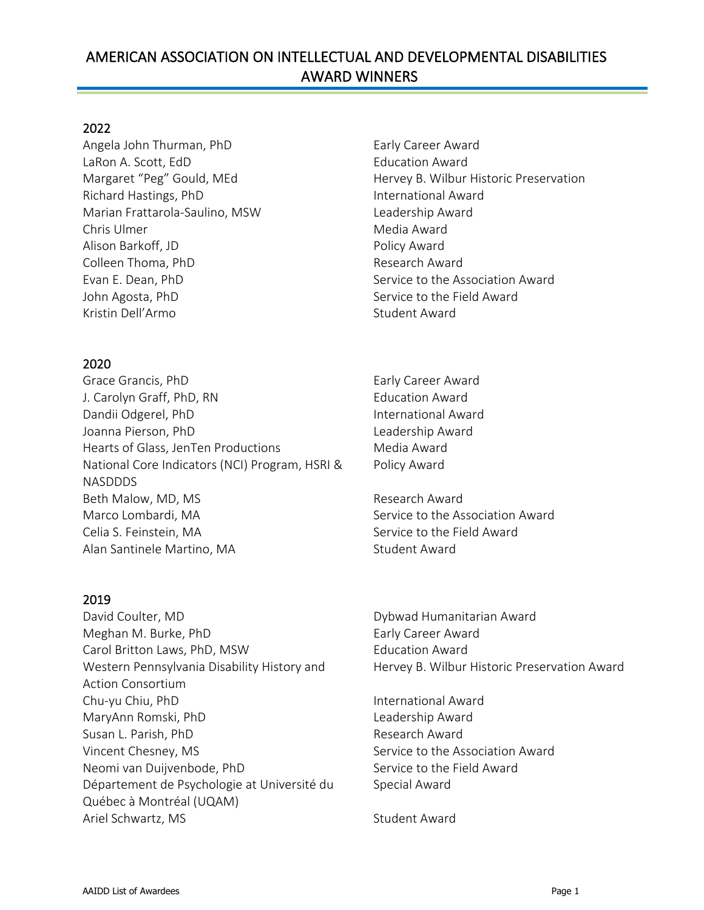# AMERICAN ASSOCIATION ON INTELLECTUAL AND DEVELOPMENTAL DISABILITIES AWARD WINNERS

Ī

#### 2022

Angela John Thurman, PhD Early Career Award LaRon A. Scott, EdD Education Award Richard Hastings, PhD **International Award** Marian Frattarola-Saulino, MSW Leadership Award Chris Ulmer **Media Award** Alison Barkoff, JD **Policy Award** Colleen Thoma, PhD **Research Award** Research Award Evan E. Dean, PhD Service to the Association Award John Agosta, PhD Service to the Field Award Kristin Dell'Armo **Student Award** 

#### 2020

Grace Grancis, PhD Early Career Award J. Carolyn Graff, PhD, RN Education Award Dandii Odgerel, PhD International Award Joanna Pierson, PhD **Leadership Award** Hearts of Glass, JenTen Productions Media Award National Core Indicators (NCI) Program, HSRI & NASDDDS Beth Malow, MD, MS **Research Award** Marco Lombardi, MA Service to the Association Award Celia S. Feinstein, MA Service to the Field Award Alan Santinele Martino, MA Student Award

#### 2019

David Coulter, MD **Dybwad Humanitarian Award** Meghan M. Burke, PhD Early Career Award Carol Britton Laws, PhD, MSW Education Award Western Pennsylvania Disability History and Action Consortium Chu-yu Chiu, PhD **International Award** MaryAnn Romski, PhD Leadership Award Susan L. Parish, PhD Research Award Vincent Chesney, MS Service to the Association Award Neomi van Duijvenbode, PhD Service to the Field Award Département de Psychologie at Université du Québec à Montréal (UQAM) Ariel Schwartz, MS Student Award

Margaret "Peg" Gould, MEd Hervey B. Wilbur Historic Preservation

Policy Award

Hervey B. Wilbur Historic Preservation Award

Special Award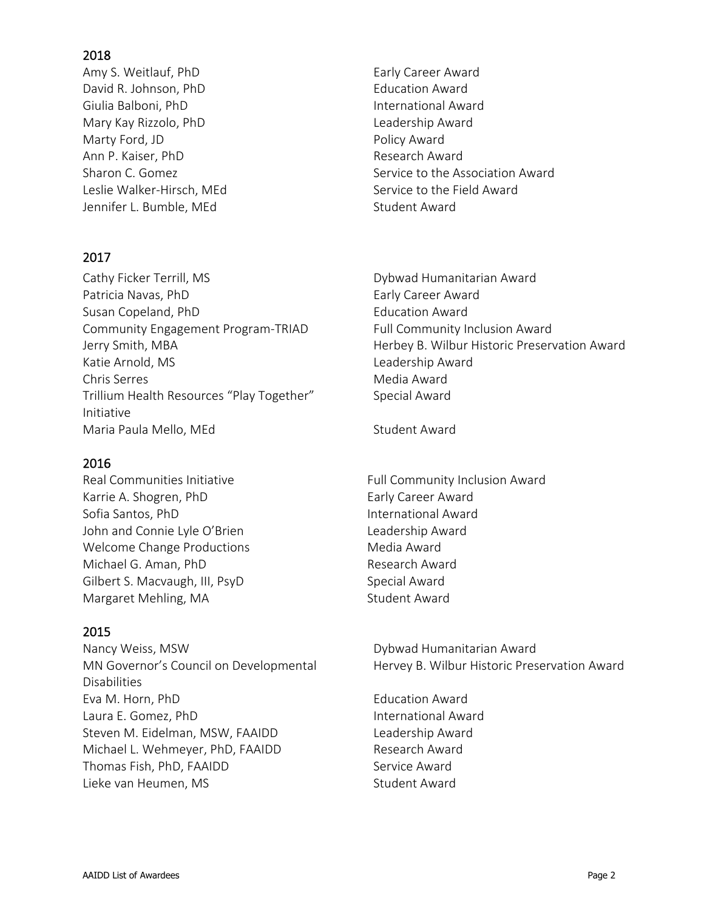Amy S. Weitlauf, PhD Early Career Award David R. Johnson, PhD **Education Award** Giulia Balboni, PhD **International Award** Mary Kay Rizzolo, PhD **Leadership Award** Marty Ford, JD Policy Award Ann P. Kaiser, PhD Research Award Leslie Walker-Hirsch, MEd Service to the Field Award Jennifer L. Bumble, MEd Student Award

## 2017

Cathy Ficker Terrill, MS and the Cathy Ficker Terrill, MS Patricia Navas, PhD Early Career Award Susan Copeland, PhD Education Award Community Engagement Program-TRIAD Full Community Inclusion Award Katie Arnold, MS and the Controller Changes are the Leadership Award Chris Serres **Media Award** Trillium Health Resources "Play Together" Initiative Maria Paula Mello, MEd Student Award

### 2016

Karrie A. Shogren, PhD Early Career Award Sofia Santos, PhD **International Award** John and Connie Lyle O'Brien Leadership Award Welcome Change Productions Media Award Michael G. Aman, PhD Research Award Gilbert S. Macvaugh, III, PsyD Special Award Margaret Mehling, MA Student Award

## 2015

Nancy Weiss, MSW **Nancy Weiss, MSW** Dybwad Humanitarian Award MN Governor's Council on Developmental Disabilities Eva M. Horn, PhD **Example 2018** Education Award Laura E. Gomez. PhD **International Award** Steven M. Eidelman, MSW, FAAIDD Leadership Award Michael L. Wehmeyer, PhD, FAAIDD Research Award Thomas Fish, PhD, FAAIDD Service Award Lieke van Heumen, MS Sunderste Award

Sharon C. Gomez Sharon C. Gomez Service to the Association Award

Jerry Smith, MBA **Herbey B. Wilbur Historic Preservation Award** Special Award

Real Communities Initiative The South Community Inclusion Award

Hervey B. Wilbur Historic Preservation Award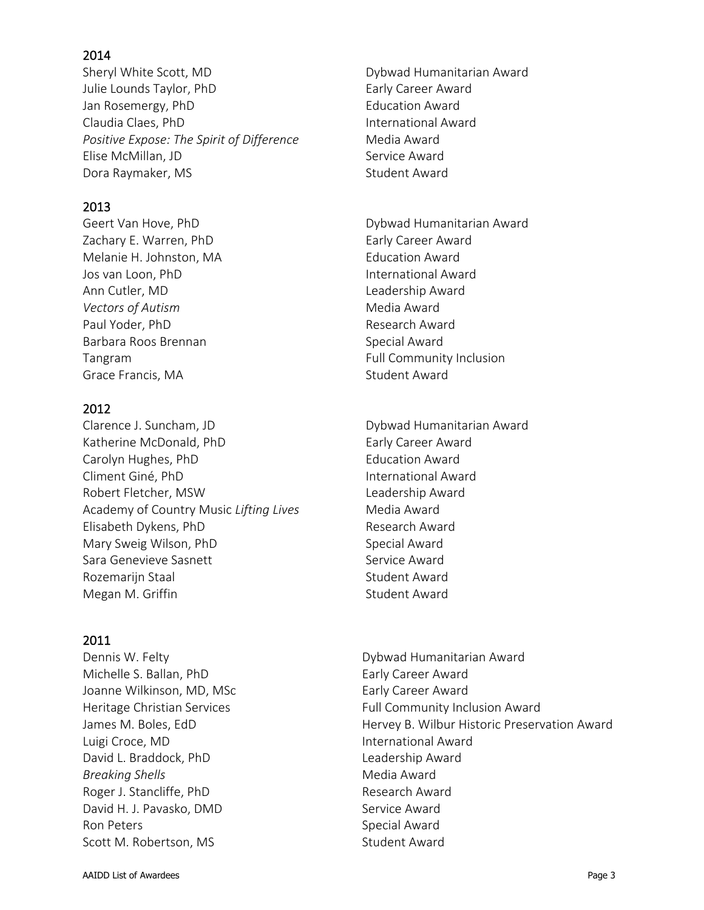Sheryl White Scott, MD **Sheryl White Scott, MD** Dybwad Humanitarian Award Julie Lounds Taylor, PhD Early Career Award Jan Rosemergy, PhD Education Award Claudia Claes, PhD International Award *Positive Expose: The Spirit of Difference* Media Award Elise McMillan, JD Service Award Dora Raymaker, MS Student Award

## 2013

Zachary E. Warren, PhD Early Career Award Melanie H. Johnston, MA Education Award Jos van Loon, PhD International Award Ann Cutler, MD and Leadership Award **Vectors of Autism** Media Award Paul Yoder, PhD **Research Award** Barbara Roos Brennan Special Award Tangram Tangram **Full Community Inclusion** Grace Francis, MA Student Award

## 2012

Clarence J. Suncham, JD Dybwad Humanitarian Award Katherine McDonald, PhD Early Career Award Carolyn Hughes, PhD Education Award Climent Giné, PhD **International Award** Robert Fletcher, MSW **Robert Fletcher**, MSW Academy of Country Music *Lifting Lives* Media Award Elisabeth Dykens, PhD Research Award Mary Sweig Wilson, PhD Special Award Sara Genevieve Sasnett Service Award Rozemariin Staal Student Award Megan M. Griffin Student Award

### 2011

Michelle S. Ballan, PhD Early Career Award Joanne Wilkinson, MD, MSc **Early Career Award** Luigi Croce, MD and International Award David L. Braddock, PhD Leadership Award **Breaking Shells** Media Award Roger J. Stancliffe, PhD Research Award David H. J. Pavasko, DMD Service Award Ron Peters **Special Award** Scott M. Robertson, MS Student Award

Geert Van Hove, PhD **Dybwad Humanitarian Award** 

Dennis W. Felty Dybwad Humanitarian Award Heritage Christian Services **Full Community Inclusion Award** James M. Boles, EdD **Hervey B. Wilbur Historic Preservation Award**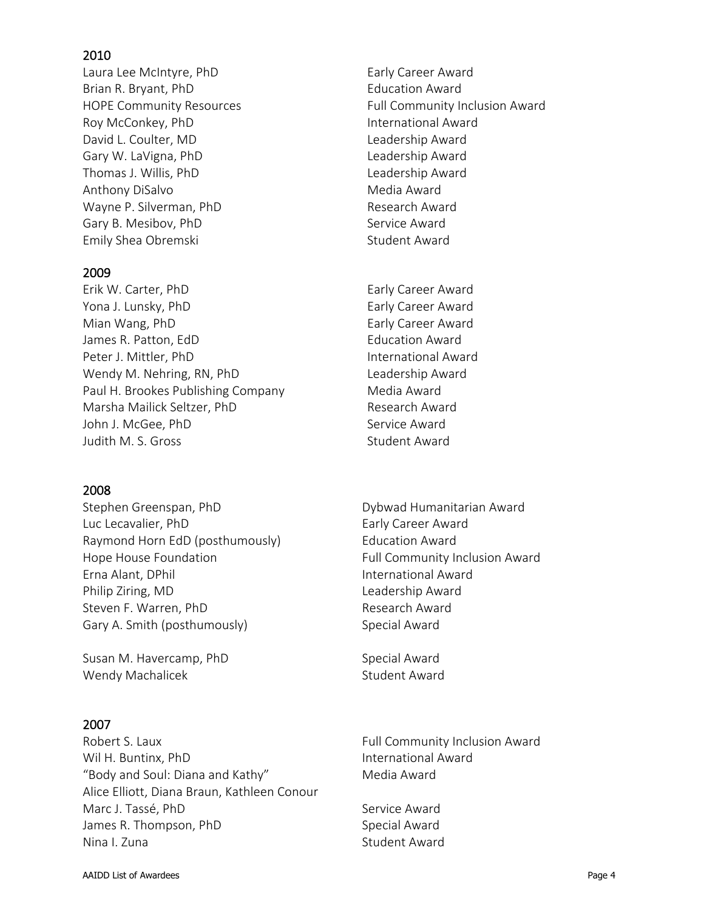Laura Lee McIntyre, PhD Early Career Award Brian R. Bryant, PhD Education Award Roy McConkey, PhD **International Award** David L. Coulter, MD Leadership Award Gary W. LaVigna, PhD Leadership Award Thomas J. Willis, PhD Leadership Award Anthony DiSalvo **Media Award** Media Award Wayne P. Silverman, PhD Research Award Gary B. Mesibov, PhD Service Award Emily Shea Obremski Student Award

#### 2009

Erik W. Carter, PhD Early Career Award Yona J. Lunsky, PhD Early Career Award Mian Wang, PhD **Early Career Award** James R. Patton, EdD **Education Award** Peter J. Mittler, PhD International Award Wendy M. Nehring, RN, PhD Leadership Award Paul H. Brookes Publishing Company Media Award Marsha Mailick Seltzer, PhD Research Award John J. McGee, PhD Service Award Judith M. S. Gross Student Award

### 2008

Stephen Greenspan, PhD **Stephen Greenspan, PhD** Dybwad Humanitarian Award Luc Lecavalier, PhD Early Career Award Raymond Horn EdD (posthumously) Education Award Hope House Foundation The Community Inclusion Award Erna Alant, DPhil **International Award** Philip Ziring, MD and Leadership Award Steven F. Warren, PhD Research Award Gary A. Smith (posthumously) Special Award

Susan M. Havercamp, PhD Susan M. Havercamp, PhD Wendy Machalicek **Student Award** 

### 2007

Robert S. Laux **Full Community Inclusion Award** Wil H. Buntinx, PhD **International Award** "Body and Soul: Diana and Kathy" Media Award Alice Elliott, Diana Braun, Kathleen Conour Marc J. Tassé, PhD Service Award James R. Thompson, PhD Special Award Nina I. Zuna Student Award

HOPE Community Resources The Resources Full Community Inclusion Award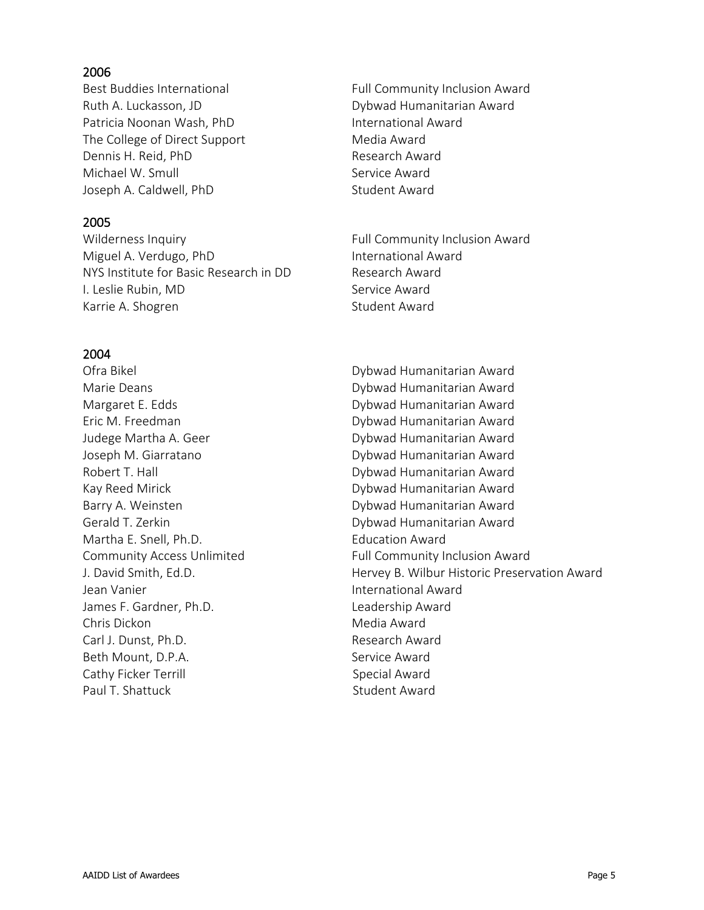Ruth A. Luckasson, JD **Dybwad Humanitarian Award** Patricia Noonan Wash, PhD International Award The College of Direct Support Media Award Dennis H. Reid, PhD Research Award Michael W. Smull Service Award Joseph A. Caldwell, PhD Student Award

### 2005

Wilderness Inquiry The Community Inclusion Award Miguel A. Verdugo, PhD International Award NYS Institute for Basic Research in DD Research Award I. Leslie Rubin, MD Service Award Karrie A. Shogren Student Award

#### 2004

Martha E. Snell, Ph.D. **Education Award** Jean Vanier International Award James F. Gardner, Ph.D. Same Contact Leadership Award Chris Dickon **Media Award** Carl J. Dunst. Ph.D. **Research Award** Beth Mount, D.P.A. Service Award Cathy Ficker Terrill **Special Award** Paul T. Shattuck Student Award

Best Buddies International **Full Community Inclusion Award** 

Ofra Bikel Dybwad Humanitarian Award Marie Deans **Dybwad Humanitarian Award** Margaret E. Edds **Dybwad Humanitarian Award** Eric M. Freedman Dybwad Humanitarian Award Judege Martha A. Geer **Camera Award** Dybwad Humanitarian Award Joseph M. Giarratano **Dybwad Humanitarian Award** Robert T. Hall **N. A. A. A. A. A. A. A. A. A. A. A. Dybwad Humanitarian Award** Kay Reed Mirick **Dybwad Humanitarian Award** Barry A. Weinsten **Dybwad Humanitarian Award** Gerald T. Zerkin **Camera Communist Contract Communist Communist Communist Communist Communist Communist Communist Communist Communist Communist Communist Communist Communist Communist Communist Communist Communist Communis** Community Access Unlimited Full Community Inclusion Award J. David Smith, Ed.D. Hervey B. Wilbur Historic Preservation Award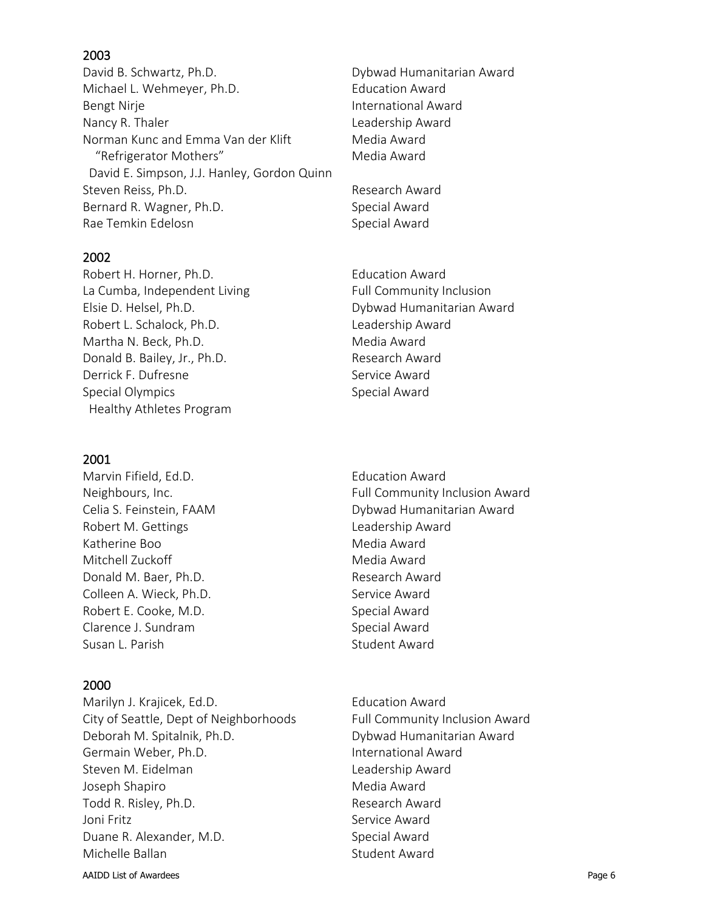David B. Schwartz, Ph.D. Charles and Dybwad Humanitarian Award Michael L. Wehmeyer, Ph.D. Education Award Bengt Nirje **International Award** Nancy R. Thaler **Leadership Award** Norman Kunc and Emma Van der Klift Media Award "Refrigerator Mothers" Media Award David E. Simpson, J.J. Hanley, Gordon Quinn Steven Reiss, Ph.D. **Research Award** Bernard R. Wagner, Ph.D. Special Award Rae Temkin Edelosn Special Award

### 2002

Robert H. Horner, Ph.D. Education Award La Cumba, Independent Living Full Community Inclusion Elsie D. Helsel, Ph.D. Dybwad Humanitarian Award Robert L. Schalock, Ph.D. Leadership Award Martha N. Beck, Ph.D. Media Award Donald B. Bailey, Jr., Ph.D. Research Award Derrick F. Dufresne Service Award Special Olympics and Special Award Healthy Athletes Program

### 2001

Marvin Fifield, Ed.D. **Education Award** Robert M. Gettings **Leadership Award** Katherine Boo Media Award Mitchell Zuckoff Media Award Donald M. Baer, Ph.D. Research Award Colleen A. Wieck, Ph.D. Service Award Robert E. Cooke, M.D. Special Award Clarence J. Sundram Special Award Susan L. Parish Susan L. Parish Student Award

### 2000

Marilyn J. Krajicek, Ed.D. Education Award City of Seattle, Dept of Neighborhoods Full Community Inclusion Award Deborah M. Spitalnik, Ph.D. Dybwad Humanitarian Award Germain Weber, Ph.D. Same Communicational Award Steven M. Eidelman Leadership Award Joseph Shapiro **Media Award** Todd R. Risley, Ph.D. **Research Award** Joni Fritz **Service Award** Duane R. Alexander, M.D. Special Award Michelle Ballan Student Award

Neighbours, Inc. The Community Inclusion Award Celia S. Feinstein, FAAM **Dybwad Humanitarian Award** 

AAIDD List of Awardees **Page 6**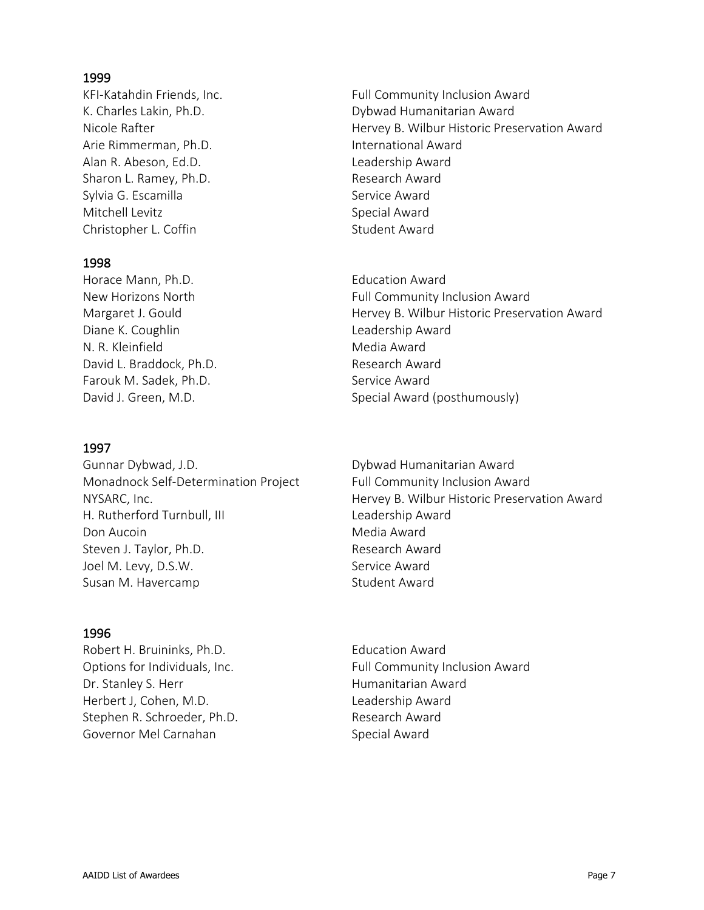Arie Rimmerman, Ph.D. International Award Alan R. Abeson, Ed.D. Sand Controller and R. Abeson, Ed.D. Sharon L. Ramey, Ph.D. Research Award Sylvia G. Escamilla Sylvia G. Escamilla Mitchell Levitz **Special Award** Christopher L. Coffin Student Award

### 1998

Horace Mann, Ph.D. **Example 20 Figure 2018** Education Award Diane K. Coughlin **Council Council Council** Leadership Award N. R. Kleinfield Media Award David L. Braddock, Ph.D. Sand Controller and Research Award Farouk M. Sadek, Ph.D. Service Award

## 1997

Gunnar Dybwad, J.D. **Dybwad Humanitarian Award** Monadnock Self-Determination Project Full Community Inclusion Award H. Rutherford Turnbull, III Leadership Award Don Aucoin **Media** Award Steven J. Taylor, Ph.D. Research Award Joel M. Levy, D.S.W. Service Award Susan M. Havercamp Susan M. Havercamp

### 1996

Robert H. Bruininks, Ph.D. Education Award Dr. Stanley S. Herr **Humanitarian Award** Herbert J, Cohen, M.D. Sand Contact Leadership Award Stephen R. Schroeder, Ph.D. Research Award Governor Mel Carnahan Special Award

KFI-Katahdin Friends, Inc. The South Community Inclusion Award K. Charles Lakin, Ph.D. **B. Communisties Communisties** Dybwad Humanitarian Award Nicole Rafter **Hervey B. Wilbur Historic Preservation Award** 

New Horizons North **Full Community Inclusion Award** Margaret J. Gould **Hervey B. Wilbur Historic Preservation Award** David J. Green, M.D. Special Award (posthumously)

NYSARC, Inc. Hervey B. Wilbur Historic Preservation Award

Options for Individuals, Inc. The South Community Inclusion Award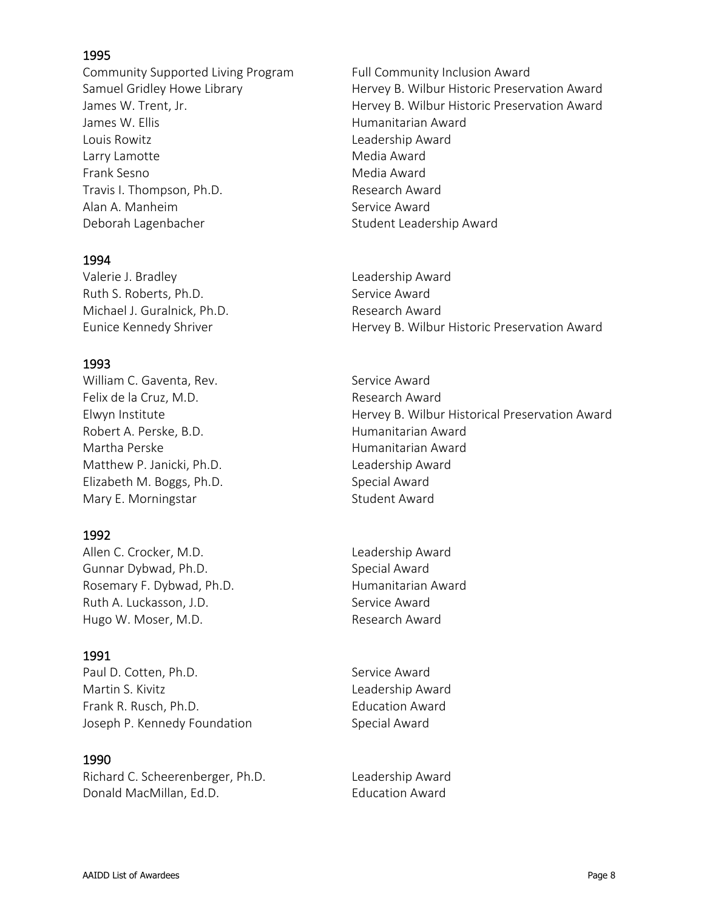Community Supported Living Program Full Community Inclusion Award James W. Ellis Humanitarian Award Louis Rowitz Leadership Award Larry Lamotte **Media** Award Frank Sesno Media Award Travis I. Thompson, Ph.D. Travis I. Thompson, Ph.D. Alan A. Manheim Service Award Deborah Lagenbacher Student Leadership Award

#### 1994

Valerie J. Bradley **Leadership Award** Ruth S. Roberts, Ph.D. Service Award Michael J. Guralnick, Ph.D. Research Award

### 1993

William C. Gaventa, Rev. Service Award Felix de la Cruz, M.D. Research Award Robert A. Perske, B.D. The Context of Humanitarian Award Martha Perske **Martha Perske** Humanitarian Award Matthew P. Janicki, Ph.D. Leadership Award Elizabeth M. Boggs, Ph.D. Special Award Mary E. Morningstar Student Award

### 1992

Allen C. Crocker, M.D. Sand Controller and Leadership Award Gunnar Dybwad, Ph.D. Special Award Rosemary F. Dybwad, Ph.D. Humanitarian Award Ruth A. Luckasson, J.D. Service Award Hugo W. Moser, M.D. Sand Controller and Research Award

### 1991

Paul D. Cotten, Ph.D. Service Award Martin S. Kivitz **Leadership Award** Frank R. Rusch, Ph.D. **Example 20** Education Award Joseph P. Kennedy Foundation Special Award

#### 1990

Richard C. Scheerenberger, Ph.D. Leadership Award Donald MacMillan, Ed.D. Education Award

Samuel Gridley Howe Library **Hervey B. Wilbur Historic Preservation Award** James W. Trent, Jr. The Music Communisties of Hervey B. Wilbur Historic Preservation Award

Eunice Kennedy Shriver **Hervey B. Wilbur Historic Preservation Award** 

Elwyn Institute Hervey B. Wilbur Historical Preservation Award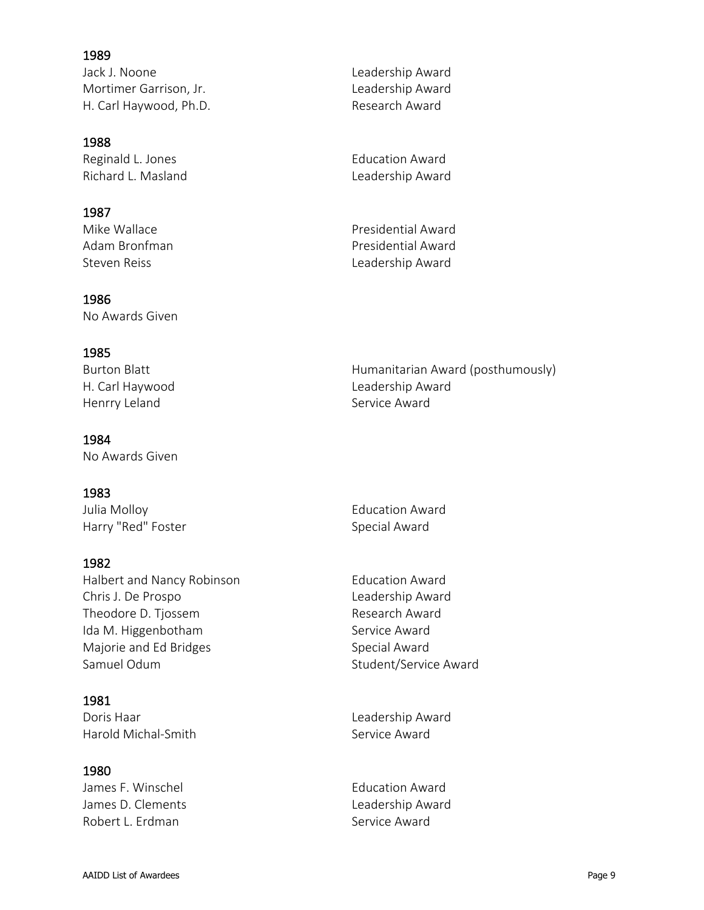Jack J. Noone Leadership Award Mortimer Garrison, Jr. **Leadership Award** H. Carl Haywood, Ph.D. Research Award

#### 1988

Reginald L. Jones **Education Award** Richard L. Masland Leadership Award

### 1987

# 1986

No Awards Given

## 1985

Henrry Leland **Service Award** Service Award

#### 1984

No Awards Given

### 1983

Julia Molloy Education Award Harry "Red" Foster Special Award

### 1982

Halbert and Nancy Robinson **Education Award** Chris J. De Prospo **Leadership Award** Theodore D. Tjossem **Research Award** Ida M. Higgenbotham Service Award Majorie and Ed Bridges Special Award Samuel Odum Samuel Odum Student/Service Award

### 1981

Doris Haar **Leadership Award** Harold Michal-Smith Service Award

### 1980

James F. Winschel **Education Award** James D. Clements **Leadership Award** Robert L. Erdman Service Award

Mike Wallace **Presidential Award** Adam Bronfman **Presidential Award** Steven Reiss **Leadership Award** 

Burton Blatt **Humanitarian Award (posthumously)** H. Carl Haywood **Leadership Award**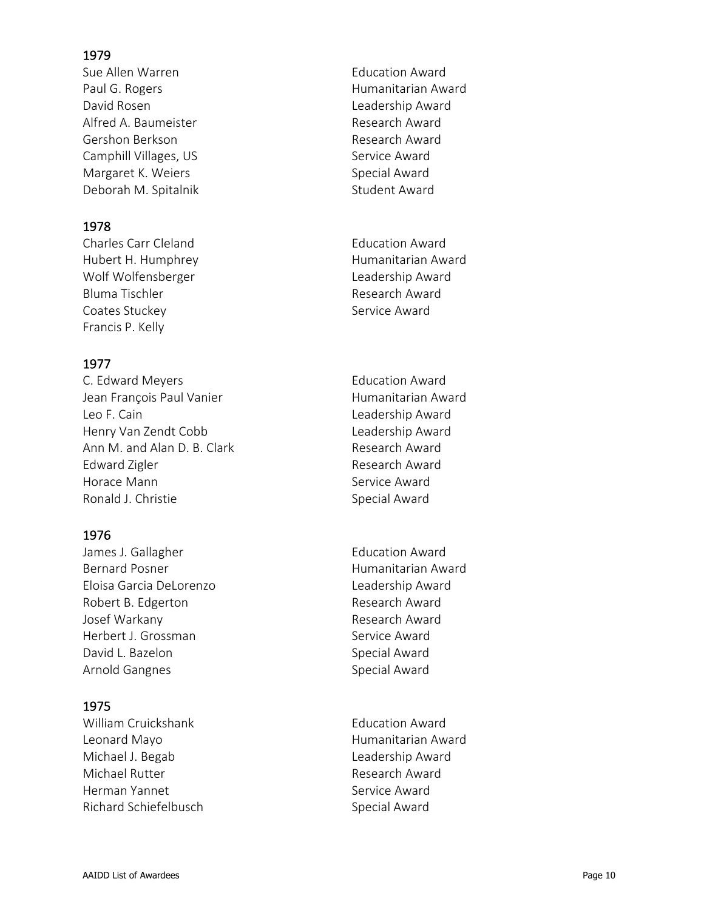Sue Allen Warren **Education Award** Paul G. Rogers **Humanitarian Award** David Rosen Leadership Award Alfred A. Baumeister **Research Award** Gershon Berkson **Research Award** Camphill Villages, US Service Award Margaret K. Weiers Special Award Deborah M. Spitalnik Student Award

## 1978

Charles Carr Cleland **Education Award** Hubert H. Humphrey **Humanitarian Award** Wolf Wolfensberger North Charles and Leadership Award Bluma Tischler **Research Award** Coates Stuckey **Service Award** Francis P. Kelly

## 1977

C. Edward Meyers **Education Award** Jean François Paul Vanier **Humanitarian Award** Leo F. Cain **Leadership Award** Henry Van Zendt Cobb Leadership Award Ann M. and Alan D. B. Clark Research Award Edward Zigler **Research Award** Horace Mann Service Award Ronald J. Christie Special Award

## 1976

James J. Gallagher **Education Award** Bernard Posner **Humanitarian Award** Eloisa Garcia DeLorenzo Leadership Award Robert B. Edgerton **Research Award** Josef Warkany **Research Award** Herbert J. Grossman Service Award David L. Bazelon Special Award Arnold Gangnes **Special Award** 

## 1975

William Cruickshank **Education Award** Leonard Mayo **Humanitarian Award** Michael J. Begab Leadership Award Michael Rutter **Research Award** Herman Yannet Service Award Richard Schiefelbusch Special Award